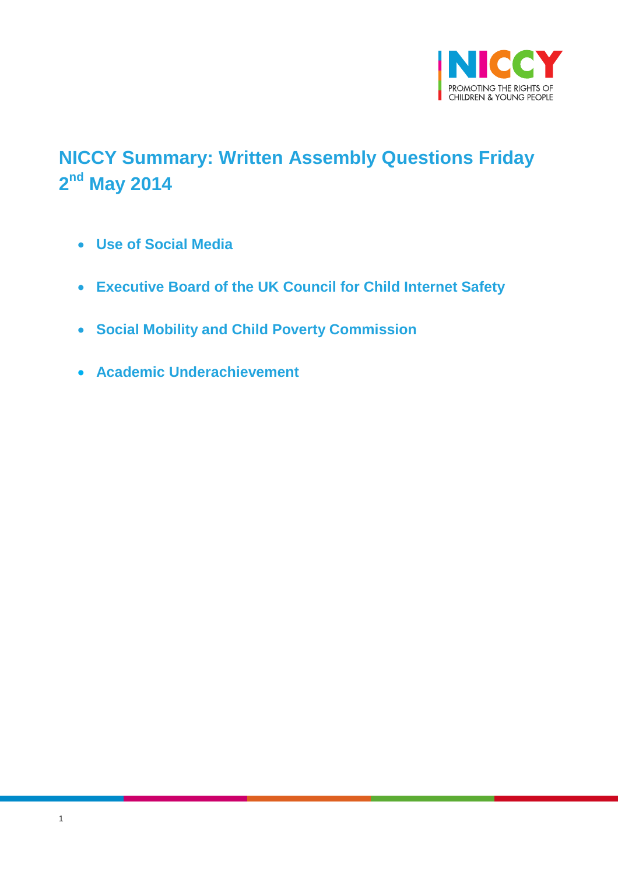

# <span id="page-0-0"></span>**NICCY Summary: Written Assembly Questions Friday 2 nd May 2014**

- **[Use of Social Media](#page-1-0)**
- **Executive Board of the UK [Council for Child Internet Safety](#page-1-1)**
- **[Social Mobility and Child Poverty Commission](#page-2-0)**
- **[Academic Underachievement](#page-2-1)**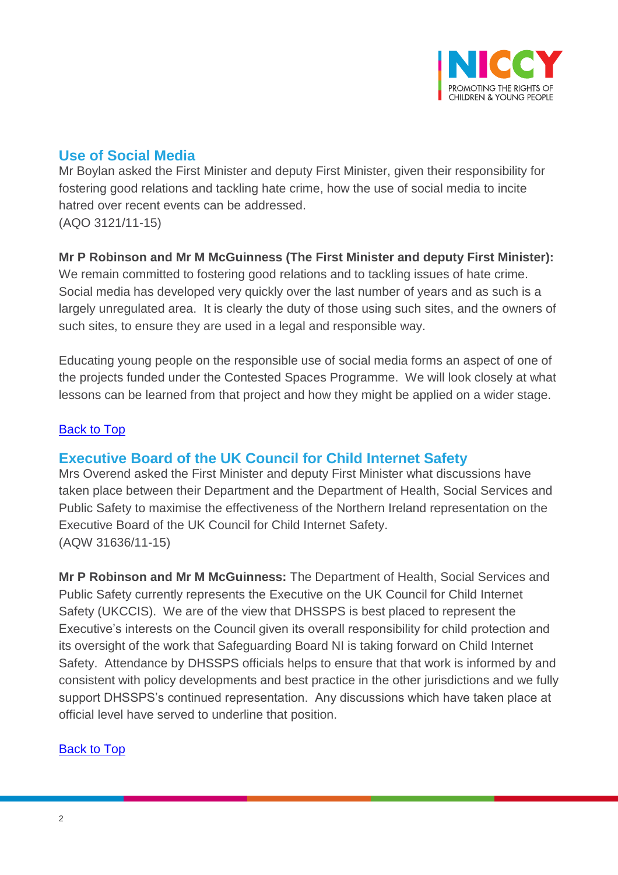

# <span id="page-1-0"></span>**Use of Social Media**

Mr Boylan asked the First Minister and deputy First Minister, given their responsibility for fostering good relations and tackling hate crime, how the use of social media to incite hatred over recent events can be addressed. (AQO 3121/11-15)

#### **Mr P Robinson and Mr M McGuinness (The First Minister and deputy First Minister):**

We remain committed to fostering good relations and to tackling issues of hate crime. Social media has developed very quickly over the last number of years and as such is a largely unregulated area. It is clearly the duty of those using such sites, and the owners of such sites, to ensure they are used in a legal and responsible way.

Educating young people on the responsible use of social media forms an aspect of one of the projects funded under the Contested Spaces Programme. We will look closely at what lessons can be learned from that project and how they might be applied on a wider stage.

#### [Back to Top](#page-0-0)

### <span id="page-1-1"></span>**Executive Board of the UK Council for Child Internet Safety**

Mrs Overend asked the First Minister and deputy First Minister what discussions have taken place between their Department and the Department of Health, Social Services and Public Safety to maximise the effectiveness of the Northern Ireland representation on the Executive Board of the UK Council for Child Internet Safety. (AQW 31636/11-15)

**Mr P Robinson and Mr M McGuinness:** The Department of Health, Social Services and Public Safety currently represents the Executive on the UK Council for Child Internet Safety (UKCCIS). We are of the view that DHSSPS is best placed to represent the Executive's interests on the Council given its overall responsibility for child protection and its oversight of the work that Safeguarding Board NI is taking forward on Child Internet Safety. Attendance by DHSSPS officials helps to ensure that that work is informed by and consistent with policy developments and best practice in the other jurisdictions and we fully support DHSSPS's continued representation. Any discussions which have taken place at official level have served to underline that position.

#### [Back to Top](#page-0-0)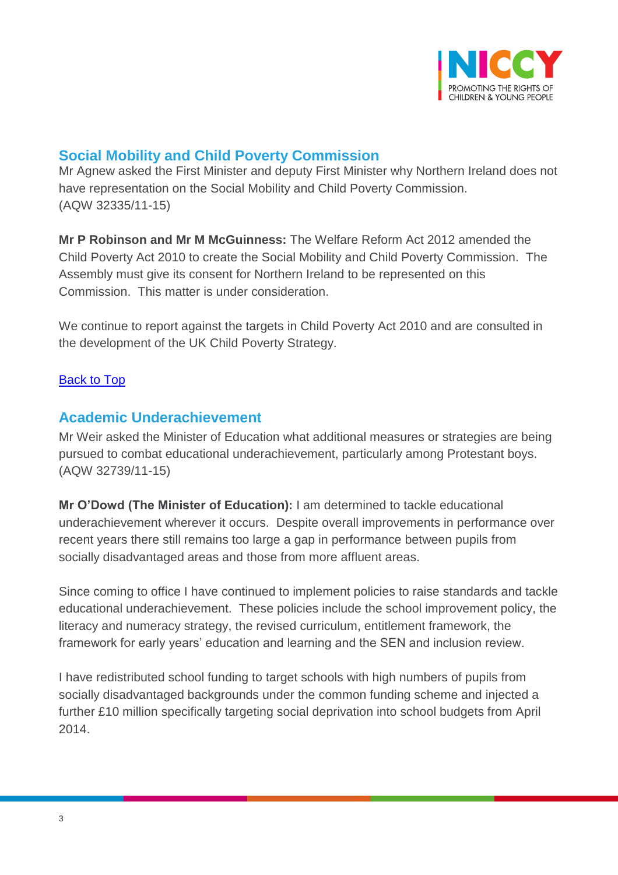

## <span id="page-2-0"></span>**Social Mobility and Child Poverty Commission**

Mr Agnew asked the First Minister and deputy First Minister why Northern Ireland does not have representation on the Social Mobility and Child Poverty Commission. (AQW 32335/11-15)

**Mr P Robinson and Mr M McGuinness:** The Welfare Reform Act 2012 amended the Child Poverty Act 2010 to create the Social Mobility and Child Poverty Commission. The Assembly must give its consent for Northern Ireland to be represented on this Commission. This matter is under consideration.

We continue to report against the targets in Child Poverty Act 2010 and are consulted in the development of the UK Child Poverty Strategy.

#### **[Back to Top](#page-0-0)**

### <span id="page-2-1"></span>**Academic Underachievement**

Mr Weir asked the Minister of Education what additional measures or strategies are being pursued to combat educational underachievement, particularly among Protestant boys. (AQW 32739/11-15)

**Mr O'Dowd (The Minister of Education):** I am determined to tackle educational underachievement wherever it occurs. Despite overall improvements in performance over recent years there still remains too large a gap in performance between pupils from socially disadvantaged areas and those from more affluent areas.

Since coming to office I have continued to implement policies to raise standards and tackle educational underachievement. These policies include the school improvement policy, the literacy and numeracy strategy, the revised curriculum, entitlement framework, the framework for early years' education and learning and the SEN and inclusion review.

I have redistributed school funding to target schools with high numbers of pupils from socially disadvantaged backgrounds under the common funding scheme and injected a further £10 million specifically targeting social deprivation into school budgets from April 2014.